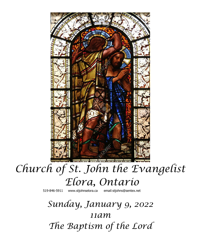

# *Church of St. John the Evangelist Elora, Ontario*

519-846-5911 [www.stjohnselora.ca email:stjohns@sentex.net](http://www.stjohnselora.ca%20%20%20%20%20%20email:stjohns@sentex.net)

*Sunday, January 9, 2022 11am The Baptism of the Lord*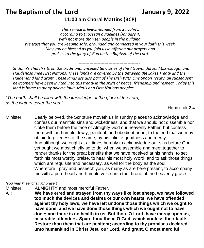# **The Baptism of the Lord January 9, 2022**

# **11:00 am Choral Mattins (BCP)**

*This service is live-streamed from St. John's according to Diocesan guidelines (January 4) with not more than ten people in the building. We trust that you are keeping safe, grounded and connected in your faith this week. May you be blessed as you join us in offering our prayers and praises to the glory of God on the Baptism of the Lord.*

*--------------------------------------------- St. John's church sits on the traditional unceded territories of the Attawandaron, Mississauga, and Haudenosaunee First Nations. These lands are covered by the Between the Lakes Treaty and the Haldemand land grant. These lands are also part of The Dish With One Spoon Treaty, all subsequent newcomers have been invited into this treaty in the spirit of peace, friendship and respect. Today this land is home to many diverse Inuit, Metis and First Nations peoples.*

*"The earth shall be filled with the knowledge of the glory of the Lord, as the waters cover the sea."*

– Habakkuk 2.4

Minister: Dearly beloved, the Scripture moveth us in sundry places to acknowledge and confess our manifold sins and wickedness; and that we should not dissemble nor cloke them before the face of Almighty God our heavenly Father; but confess them with an humble, lowly, penitent, and obedient heart; to the end that we may obtain forgiveness of the same, by his infinite goodness and mercy. And although we ought at all times humbly to acknowledge our sins before God; yet ought we most chiefly so to do, when we assemble and meet together to render thanks for the great benefits that we have received at his hands, to set forth his most worthy praise, to hear his most holy Word, and to ask those things which are requisite and necessary, as well for the body as the soul. Wherefore I pray and beseech you, as many as are here present, to accompany me with a pure heart and humble voice unto the throne of the heavenly grace.

*(you may kneel or sit for prayer)*

Minister: ALMIGHTY and most merciful Father,

All: **We have erred and strayed from thy ways like lost sheep, we have followed too much the devices and desires of our own hearts, we have offended against thy holy laws, we have left undone those things which we ought to have done, and we have done those things which we ought not to have done; and there is no health in us. But thou, O Lord, have mercy upon us, miserable offenders. Spare thou them, O God, which confess their faults. Restore thou them that are penitent; according to thy promises declared unto humankind in Christ Jesu our Lord. And grant, O most merciful**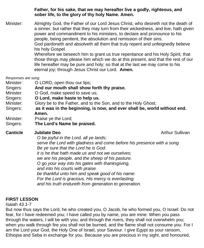**Father, for his sake, that we may hereafter live a godly, righteous, and sober life, to the glory of thy holy Name. Amen.**

Minister: Almighty God, the Father of our Lord Jesus Christ, who desireth not the death of a sinner, but rather that they may turn from their wickedness, and live, hath given power and commandment to his ministers, to declare and pronounce to his people, being penitent, the absolution and remission of their sins. God pardoneth and absolveth all them that truly repent and unfeignedly believe his holy Gospel. Wherefore we beseech him to grant us true repentance and his Holy Spirit, that

those things may please him which we do at this present, and that the rest of our life hereafter may be pure and holy; so that at the last we may come to his eternal joy; through Jesus Christ our Lord. **Amen.**

*Responses are sung.*

- Minister: **O LORD**, open thou our lips;
- Singers: **And our mouth shall show forth thy praise.**
- Minister: **O God, make speed to save us;**
- Singers: **O Lord, make haste to help us.**
- Minister: Glory be to the Father, and to the Son, and to the Holy Ghost;
- Singers: **as it was in the beginning, is now, and ever shall be, world without end. Amen.**
- Minister: Praise ye the Lord;
- Singers: **The Lord's Name be praised.**

#### **Canticle Jubilate Deo Arthur Sullivan Canticle Jubilate Deo**

*O be joyful in the Lord, all ye lands; serve the Lord with gladness and come before his presence with a song. Be ye sure that the Lord he is God: it is he that hath made us and not we ourselves; we are his people, and the sheep of his pasture.*

*O go your way into his gates with thanksgiving,*

*and into his courts with praise.*

*be thankful unto him and speak good of his name.*

*For the Lord is gracious, His mercy is everlasting;*

*and his truth endureth from generation to generation.*

### **FIRST LESSON**

Isaiah 43.1-7

But now thus says the Lord, he who created you, O Jacob, he who formed you, O Israel: Do not fear, for I have redeemed you; I have called you by name, you are mine. When you pass through the waters, I will be with you; and through the rivers, they shall not overwhelm you; when you walk through fire you shall not be burned, and the flame shall not consume you. For I am the Lord your God, the Holy One of Israel, your Saviour. I give Egypt as your ransom, Ethiopia and Seba in exchange for you. Because you are precious in my sight, and honoured,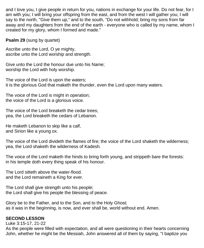and I love you, I give people in return for you, nations in exchange for your life. Do not fear, for I am with you; I will bring your offspring from the east, and from the west I will gather you; I will say to the north, "Give them up," and to the south, "Do not withhold; bring my sons from far away and my daughters from the end of the earth - everyone who is called by my name, whom I created for my glory, whom I formed and made."

**Psalm 29** (sung by quartet)

Ascribe unto the Lord, O ye mighty, ascribe unto the Lord worship and strength.

Give unto the Lord the honour due unto his Name; worship the Lord with holy worship.

The voice of the Lord is upon the waters; it is the glorious God that maketh the thunder, even the Lord upon many waters.

The voice of the Lord is might in operation; the voice of the Lord is a glorious voice.

The voice of the Lord breaketh the cedar trees; yea, the Lord breaketh the cedars of Lebanon.

He maketh Lebanon to skip like a calf, and Sirion like a young ox.

The voice of the Lord divideth the flames of fire; the voice of the Lord shaketh the wilderness; yea, the Lord shaketh the wilderness of Kadesh.

The voice of the Lord maketh the hinds to bring forth young, and strippeth bare the forests: in his temple doth every thing speak of his honour.

The Lord sitteth above the water-flood. and the Lord remaineth a King for ever.

The Lord shall give strength unto his people; the Lord shall give his people the blessing of peace.

Glory be to the Father, and to the Son, and to the Holy Ghost; as it was in the beginning, is now, and ever shall be, world without end. Amen.

#### **SECOND LESSON**

Luke 3:15-17, 21-22

As the people were filled with expectation, and all were questioning in their hearts concerning John, whether he might be the Messiah, John answered all of them by saying, "I baptize you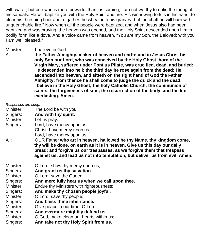with water; but one who is more powerful than I is coming; I am not worthy to untie the thong of his sandals. He will baptize you with the Holy Spirit and fire. His winnowing fork is in his hand, to clear his threshing floor and to gather the wheat into his granary; but the chaff he will burn with unquenchable fire." Now when all the people were baptized, and when Jesus also had been baptized and was praying, the heaven was opened, and the Holy Spirit descended upon him in bodily form like a dove. And a voice came from heaven, "You are my Son, the Beloved; with you I am well pleased."

Minister: I believe in God

All: **the Father Almighty, maker of heaven and earth: and in Jesus Christ his only Son our Lord, who was conceived by the Holy Ghost, born of the Virgin Mary, suffered under Pontius Pilate, was crucified, dead, and buried: He descended into hell; the third day he rose again from the dead; He ascended into heaven, and sitteth on the right hand of God the Father Almighty; from thence he shall come to judge the quick and the dead. I believe in the Holy Ghost; the holy Catholic Church; the communion of saints; the forgiveness of sins; the resurrection of the body, and the life everlasting. Amen.**

| Responses are sung. |                                                                              |
|---------------------|------------------------------------------------------------------------------|
| Minister:           | The Lord be with you;                                                        |
| Singers:            | And with thy spirit.                                                         |
| Minister.           | Let us pray.                                                                 |
| Singers:            | Lord, have mercy upon us.                                                    |
|                     | Christ, have mercy upon us.                                                  |
|                     | Lord, have mercy upon us.                                                    |
| All:                | OUR Father who art in heaven, hallowed be thy Name, thy kingdom come,        |
|                     | thy will be done, on earth as it is in heaven. Give us this day our daily    |
|                     | bread; and forgive us our trespasses, as we forgive them that trespass       |
|                     | against us; and lead us not into temptation, but deliver us from evil. Amen. |
| Minister:           | O Lord, show thy mercy upon us;                                              |
| Singers:            | And grant us thy salvation.                                                  |
| Minister:           | O Lord, save the Queen;                                                      |
| Singers:            | And mercifully hear us when we call upon thee.                               |
| Minister:           | Endue thy Ministers with righteousness;                                      |
| Singers:            | And make thy chosen people joyful.                                           |
| Minister:           | O Lord, save thy people;                                                     |
| Singers:            | And bless thine inheritance.                                                 |
| Minister:           | Give peace in our time, O Lord;                                              |
| Singers:            | And evermore mightily defend us.                                             |
| Minister:           | O God, make clean our hearts within us;                                      |
| Singers:            | And take not thy Holy Spirit from us.                                        |
|                     |                                                                              |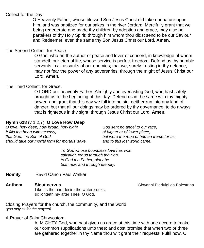#### Collect for the Day

 O Heavenly Father, whose blessed Son Jesus Christ did take our nature upon him, and was baptized for our sakes in the river Jordan: Mercifully grant that we being regenerate and made thy children by adoption and grace, may also be partakers of thy Holy Spirit; through him whom thou didst send to be our Saviour and Redeemer, even the same thy Son Jesus Christ our Lord. **Amen.**

#### The Second Collect, for Peace.

O God, who art the author of peace and lover of concord, in knowledge of whom standeth our eternal life, whose service is perfect freedom: Defend us thy humble servants in all assaults of our enemies; that we, surely trusting in thy defence, may not fear the power of any adversaries; through the might of Jesus Christ our Lord. **Amen.**

#### The Third Collect, for Grace.

O LORD our heavenly Father, Almighty and everlasting God, who hast safely brought us to the beginning of this day: Defend us in the same with thy mighty power; and grant that this day we fall into no sin, neither run into any kind of danger; but that all our doings may be ordered by thy governance, to do always that is righteous in thy sight; through Jesus Christ our Lord. **Amen.**

#### **Hymn 628** (v 1,2,7) **O Love How Deep**

| O love, how deep, how broad, how high!         | God sent no angel to our race,           |
|------------------------------------------------|------------------------------------------|
| It fills the heart with ecstasy,               | of higher or of lower place,             |
| that God, the Son of God.                      | but wore the robe of human frame for us. |
| should take our mortal form for mortals' sake. | and to this lost world came.             |

*To God whose boundless love has won salvation for us through the Son, to God the Father, glory be both now and through eternity.*

**Homily** Rev'd Canon Paul Walker

**Anthem Sicut cervus Giovanni Pierluigi da Palestrina Anthem Giovanni Pierluigi da Palestrina**  Like as the hart desire the waterbrooks, so longeth my after Thee, O God.

Closing Prayers for the church, the community, and the world. *(you may sit for the prayers)*

A Prayer of Saint Chrysostom.

ALMIGHTY God, who hast given us grace at this time with one accord to make our common supplications unto thee; and dost promise that when two or three are gathered together in thy Name thou wilt grant their requests: Fulfil now, O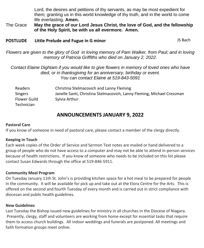Lord, the desires and petitions of thy servants, as may be most expedient for them; granting us in this world knowledge of thy truth, and in the world to come life everlasting. **Amen.**

The Grace **May the grace of our Lord Jesus Christ, the love of God, and the fellowship of the Holy Spirit, be with us all evermore. Amen.**

#### **POSTLUDE** Little Prelude and Fugue in G minor **COSTLUDE** JS Bach

Flowers are given to the glory of God in loving memory of Pam Walker, from Paul; and in loving *memory of Patricia Griffiths who died on January 2, 2022.*

#### *Contact Elaine Dightam if you would like to give flowers in memory of loved ones who have died, or in thanksgiving for an anniversary, birthday or event. You can contact Elaine at 519-843-5091*

| Readers           | Christina Stelmacovich and Lanny Fleming                               |
|-------------------|------------------------------------------------------------------------|
| <b>Singers</b>    | Janelle Santi, Christina Stelmacovich, Lanny Fleming, Michael Cressman |
| Flower Guild      | Sylvia Arthur                                                          |
| <b>Technician</b> |                                                                        |

## **ANNOUNCEMENTS JANUARY 9, 2022**

#### **Pastoral Care**

If you know of someone in need of pastoral care, please contact a member of the clergy directly.

#### **Keeping in Touch**

Each week copies of the Order of Service and Sermon Text notes are mailed or hand delivered to a group of people who do not have access to a computer and may not be able to attend in-person services because of health restrictions. If you know of someone who needs to be included on this list please contact Susan Edwards through the office at 519-846-5911.

#### **Community Meal Program**

On Tuesday January 11th St. John's is providing kitchen space for a hot meal to be prepared for people in the community. It will be available for pick up and take out at the Elora Centre for the Arts. This is offered on the second and fourth Tuesday of every month and is carried out in strict compliance with diocesan and public health guidelines.

#### **New Guidelines**

Last Tuesday the Bishop issued new guidelines for ministry in all churches in the Diocese of Niagara. Presently, clergy, staff and volunteers are working from home except for essential tasks that require them to access church buildings. All indoor weddings and funerals are postponed. All meetings and faith formation groups meet online.